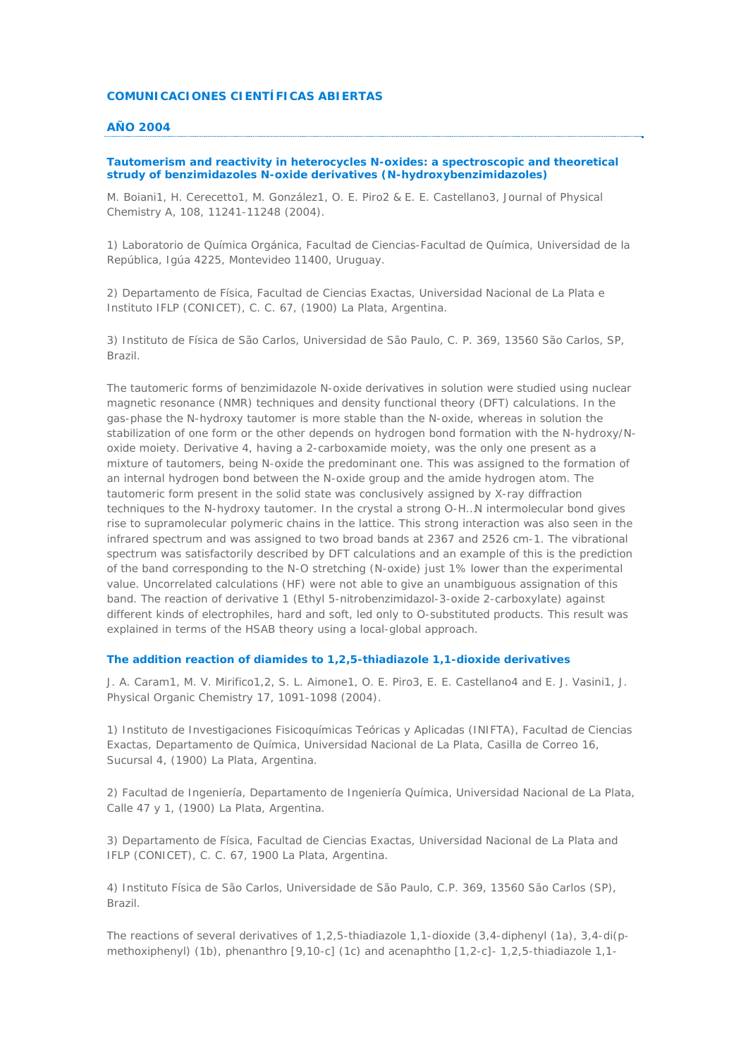## **COMUNICACIONES CIENTÍFICAS ABIERTAS**

# **AÑO 2004**

# **Tautomerism and reactivity in heterocycles N-oxides: a spectroscopic and theoretical strudy of benzimidazoles N-oxide derivatives (N-hydroxybenzimidazoles)**

*M. Boiani1, H. Cerecetto1, M. González1, O. E. Piro2 & E. E. Castellano3, Journal of Physical Chemistry A, 108, 11241-11248 (2004).*

1) Laboratorio de Química Orgánica, Facultad de Ciencias-Facultad de Química, Universidad de la República, Igúa 4225, Montevideo 11400, Uruguay.

2) Departamento de Física, Facultad de Ciencias Exactas, Universidad Nacional de La Plata e Instituto IFLP (CONICET), C. C. 67, (1900) La Plata, Argentina.

3) Instituto de Física de São Carlos, Universidad de São Paulo, C. P. 369, 13560 São Carlos, SP, Brazil.

The tautomeric forms of benzimidazole N-oxide derivatives in solution were studied using nuclear magnetic resonance (NMR) techniques and density functional theory (DFT) calculations. In the gas-phase the N-hydroxy tautomer is more stable than the N-oxide, whereas in solution the stabilization of one form or the other depends on hydrogen bond formation with the N-hydroxy/Noxide moiety. Derivative 4, having a 2-carboxamide moiety, was the only one present as a mixture of tautomers, being N-oxide the predominant one. This was assigned to the formation of an internal hydrogen bond between the N-oxide group and the amide hydrogen atom. The tautomeric form present in the solid state was conclusively assigned by X-ray diffraction techniques to the N-hydroxy tautomer. In the crystal a strong O-H…N intermolecular bond gives rise to supramolecular polymeric chains in the lattice. This strong interaction was also seen in the infrared spectrum and was assigned to two broad bands at 2367 and 2526 cm-1. The vibrational spectrum was satisfactorily described by DFT calculations and an example of this is the prediction of the band corresponding to the N-O stretching (N-oxide) just 1% lower than the experimental value. Uncorrelated calculations (HF) were not able to give an unambiguous assignation of this band. The reaction of derivative 1 (Ethyl 5-nitrobenzimidazol-3-oxide 2-carboxylate) against different kinds of electrophiles, hard and soft, led only to O-substituted products. This result was explained in terms of the HSAB theory using a local-global approach.

# **The addition reaction of diamides to 1,2,5-thiadiazole 1,1-dioxide derivatives**

*J. A. Caram1, M. V. Mirifico1,2, S. L. Aimone1, O. E. Piro3, E. E. Castellano4 and E. J. Vasini1, J. Physical Organic Chemistry 17, 1091-1098 (2004).*

1) Instituto de Investigaciones Fisicoquímicas Teóricas y Aplicadas (INIFTA), Facultad de Ciencias Exactas, Departamento de Química, Universidad Nacional de La Plata, Casilla de Correo 16, Sucursal 4, (1900) La Plata, Argentina.

2) Facultad de Ingeniería, Departamento de Ingeniería Química, Universidad Nacional de La Plata, Calle 47 y 1, (1900) La Plata, Argentina.

3) Departamento de Física, Facultad de Ciencias Exactas, Universidad Nacional de La Plata and IFLP (CONICET), C. C. 67, 1900 La Plata, Argentina.

4) Instituto Física de São Carlos, Universidade de São Paulo, C.P. 369, 13560 São Carlos (SP), Brazil.

The reactions of several derivatives of 1,2,5-thiadiazole 1,1-dioxide (3,4-diphenyl (1a), 3,4-di(pmethoxiphenyl) (1b), phenanthro [9,10-c] (1c) and acenaphtho [1,2-c]- 1,2,5-thiadiazole 1,1-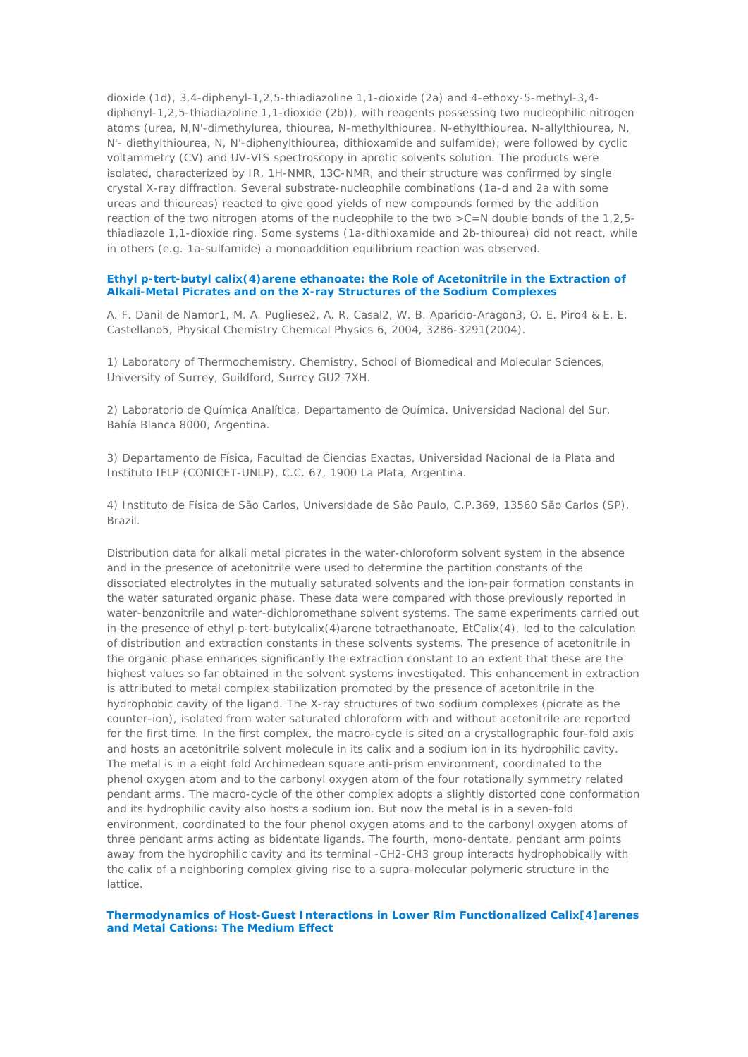dioxide (1d), 3,4-diphenyl-1,2,5-thiadiazoline 1,1-dioxide (2a) and 4-ethoxy-5-methyl-3,4 diphenyl-1,2,5-thiadiazoline 1,1-dioxide (2b)), with reagents possessing two nucleophilic nitrogen atoms (urea, N,N'-dimethylurea, thiourea, N-methylthiourea, N-ethylthiourea, N-allylthiourea, N, N'- diethylthiourea, N, N'-diphenylthiourea, dithioxamide and sulfamide), were followed by cyclic voltammetry (CV) and UV-VIS spectroscopy in aprotic solvents solution. The products were isolated, characterized by IR, 1H-NMR, 13C-NMR, and their structure was confirmed by single crystal X-ray diffraction. Several substrate-nucleophile combinations (1a-d and 2a with some ureas and thioureas) reacted to give good yields of new compounds formed by the addition reaction of the two nitrogen atoms of the nucleophile to the two  $>C=N$  double bonds of the 1,2,5thiadiazole 1,1-dioxide ring. Some systems (1a-dithioxamide and 2b-thiourea) did not react, while in others (e.g. 1a-sulfamide) a monoaddition equilibrium reaction was observed.

### **Ethyl p-tert-butyl calix(4)arene ethanoate: the Role of Acetonitrile in the Extraction of Alkali-Metal Picrates and on the X-ray Structures of the Sodium Complexes**

*A. F. Danil de Namor1, M. A. Pugliese2, A. R. Casal2, W. B. Aparicio-Aragon3, O. E. Piro4 & E. E. Castellano5, Physical Chemistry Chemical Physics 6, 2004, 3286-3291(2004).*

1) Laboratory of Thermochemistry, Chemistry, School of Biomedical and Molecular Sciences, University of Surrey, Guildford, Surrey GU2 7XH.

2) Laboratorio de Química Analítica, Departamento de Química, Universidad Nacional del Sur, Bahía Blanca 8000, Argentina.

3) Departamento de Física, Facultad de Ciencias Exactas, Universidad Nacional de la Plata and Instituto IFLP (CONICET-UNLP), C.C. 67, 1900 La Plata, Argentina.

4) Instituto de Física de São Carlos, Universidade de São Paulo, C.P.369, 13560 São Carlos (SP), Brazil.

Distribution data for alkali metal picrates in the water-chloroform solvent system in the absence and in the presence of acetonitrile were used to determine the partition constants of the dissociated electrolytes in the mutually saturated solvents and the ion-pair formation constants in the water saturated organic phase. These data were compared with those previously reported in water-benzonitrile and water-dichloromethane solvent systems. The same experiments carried out in the presence of ethyl p-tert-butylcalix(4)arene tetraethanoate, EtCalix(4), led to the calculation of distribution and extraction constants in these solvents systems. The presence of acetonitrile in the organic phase enhances significantly the extraction constant to an extent that these are the highest values so far obtained in the solvent systems investigated. This enhancement in extraction is attributed to metal complex stabilization promoted by the presence of acetonitrile in the hydrophobic cavity of the ligand. The X-ray structures of two sodium complexes (picrate as the counter-ion), isolated from water saturated chloroform with and without acetonitrile are reported for the first time. In the first complex, the macro-cycle is sited on a crystallographic four-fold axis and hosts an acetonitrile solvent molecule in its calix and a sodium ion in its hydrophilic cavity. The metal is in a eight fold Archimedean square anti-prism environment, coordinated to the phenol oxygen atom and to the carbonyl oxygen atom of the four rotationally symmetry related pendant arms. The macro-cycle of the other complex adopts a slightly distorted cone conformation and its hydrophilic cavity also hosts a sodium ion. But now the metal is in a seven-fold environment, coordinated to the four phenol oxygen atoms and to the carbonyl oxygen atoms of three pendant arms acting as bidentate ligands. The fourth, mono-dentate, pendant arm points away from the hydrophilic cavity and its terminal -CH2-CH3 group interacts hydrophobically with the calix of a neighboring complex giving rise to a supra-molecular polymeric structure in the lattice.

## **Thermodynamics of Host-Guest Interactions in Lower Rim Functionalized Calix[4]arenes and Metal Cations: The Medium Effect**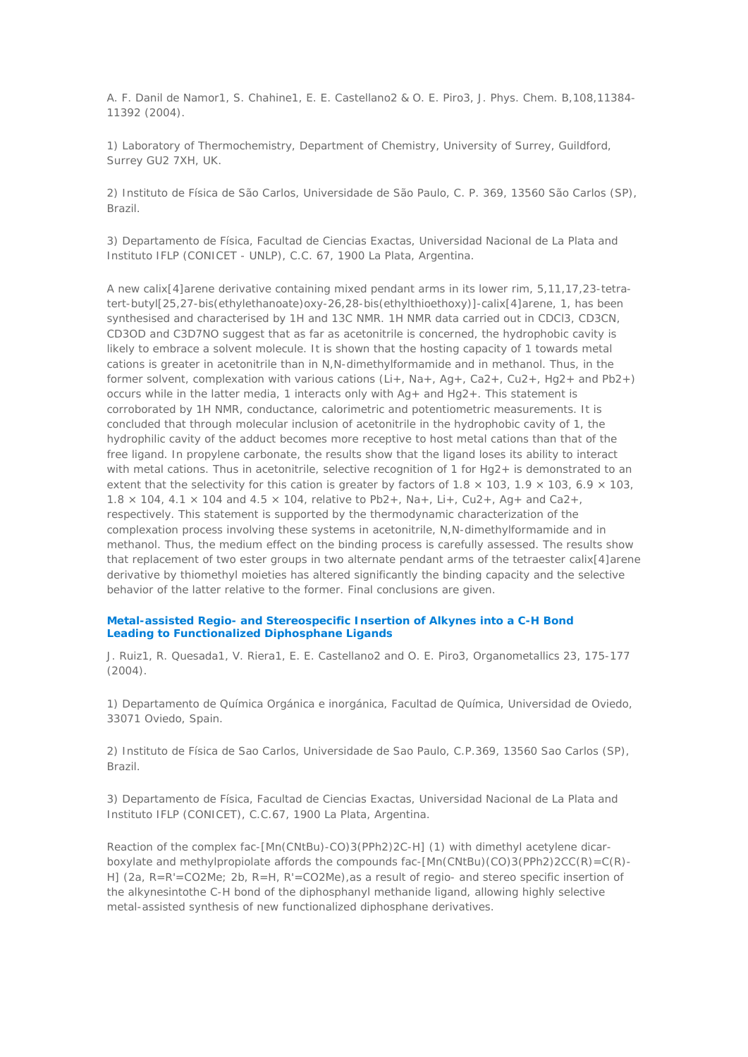*A. F. Danil de Namor1, S. Chahine1, E. E. Castellano2 & O. E. Piro3, J. Phys. Chem. B,108,11384- 11392 (2004).*

1) Laboratory of Thermochemistry, Department of Chemistry, University of Surrey, Guildford, Surrey GU2 7XH, UK.

2) Instituto de Física de São Carlos, Universidade de São Paulo, C. P. 369, 13560 São Carlos (SP), Brazil.

3) Departamento de Física, Facultad de Ciencias Exactas, Universidad Nacional de La Plata and Instituto IFLP (CONICET - UNLP), C.C. 67, 1900 La Plata, Argentina.

A new calix[4]arene derivative containing mixed pendant arms in its lower rim, 5,11,17,23-tetratert-butyl[25,27-bis(ethylethanoate)oxy-26,28-bis(ethylthioethoxy)]-calix[4]arene, 1, has been synthesised and characterised by 1H and 13C NMR. 1H NMR data carried out in CDCl3, CD3CN, CD3OD and C3D7NO suggest that as far as acetonitrile is concerned, the hydrophobic cavity is likely to embrace a solvent molecule. It is shown that the hosting capacity of 1 towards metal cations is greater in acetonitrile than in N,N-dimethylformamide and in methanol. Thus, in the former solvent, complexation with various cations (Li+, Na+, Ag+, Ca2+, Cu2+, Hg2+ and Pb2+) occurs while in the latter media, 1 interacts only with  $Aq +$  and  $Hq2+$ . This statement is corroborated by 1H NMR, conductance, calorimetric and potentiometric measurements. It is concluded that through molecular inclusion of acetonitrile in the hydrophobic cavity of 1, the hydrophilic cavity of the adduct becomes more receptive to host metal cations than that of the free ligand. In propylene carbonate, the results show that the ligand loses its ability to interact with metal cations. Thus in acetonitrile, selective recognition of 1 for Hg2+ is demonstrated to an extent that the selectivity for this cation is greater by factors of 1.8  $\times$  103, 1.9  $\times$  103, 6.9  $\times$  103,  $1.8 \times 104$ ,  $4.1 \times 104$  and  $4.5 \times 104$ , relative to Pb2+, Na+, Li+, Cu2+, Ag+ and Ca2+, respectively. This statement is supported by the thermodynamic characterization of the complexation process involving these systems in acetonitrile, N,N-dimethylformamide and in methanol. Thus, the medium effect on the binding process is carefully assessed. The results show that replacement of two ester groups in two alternate pendant arms of the tetraester calix[4]arene derivative by thiomethyl moieties has altered significantly the binding capacity and the selective behavior of the latter relative to the former. Final conclusions are given.

## **Metal-assisted Regio- and Stereospecific Insertion of Alkynes into a C-H Bond Leading to Functionalized Diphosphane Ligands**

*J. Ruiz1, R. Quesada1, V. Riera1, E. E. Castellano2 and O. E. Piro3, Organometallics 23, 175-177 (2004).*

1) Departamento de Química Orgánica e inorgánica, Facultad de Química, Universidad de Oviedo, 33071 Oviedo, Spain.

2) Instituto de Física de Sao Carlos, Universidade de Sao Paulo, C.P.369, 13560 Sao Carlos (SP), Brazil.

3) Departamento de Física, Facultad de Ciencias Exactas, Universidad Nacional de La Plata and Instituto IFLP (CONICET), C.C.67, 1900 La Plata, Argentina.

Reaction of the complex fac-[Mn(CNtBu)-CO)3(PPh2)2C-H] (1) with dimethyl acetylene dicarboxylate and methylpropiolate affords the compounds fac- $[Mn(CNtBu)(CO)3(PPh2)2CC(R)=C(R)$ -H] (2a, R=R'=CO2Me; 2b, R=H, R'=CO2Me), as a result of regio- and stereo specific insertion of the alkynesintothe C-H bond of the diphosphanyl methanide ligand, allowing highly selective metal-assisted synthesis of new functionalized diphosphane derivatives.